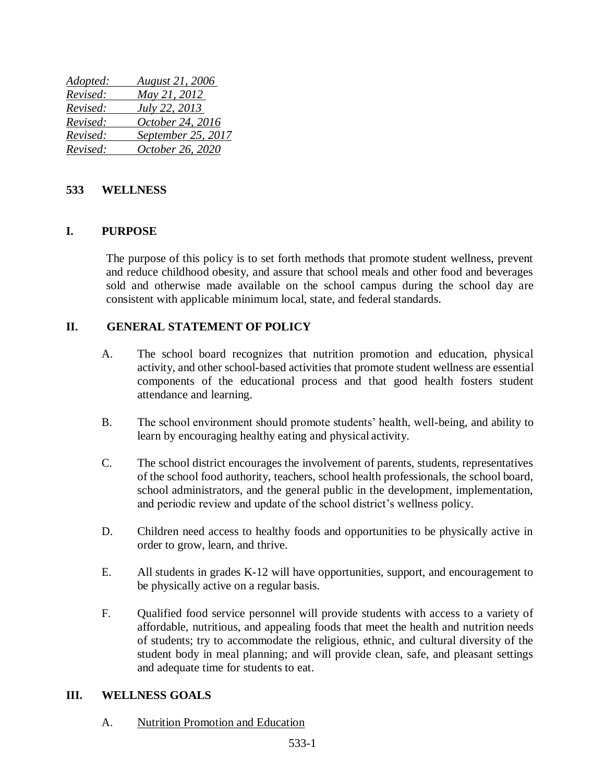| Adopted: | <b>August 21, 2006</b> |
|----------|------------------------|
| Revised: | May 21, 2012           |
| Revised: | July 22, 2013          |
| Revised: | October 24, 2016       |
| Revised: | September 25, 2017     |
| Revised: | October 26, 2020       |

## **533 WELLNESS**

### **I. PURPOSE**

The purpose of this policy is to set forth methods that promote student wellness, prevent and reduce childhood obesity, and assure that school meals and other food and beverages sold and otherwise made available on the school campus during the school day are consistent with applicable minimum local, state, and federal standards.

### **II. GENERAL STATEMENT OF POLICY**

- A. The school board recognizes that nutrition promotion and education, physical activity, and other school-based activities that promote student wellness are essential components of the educational process and that good health fosters student attendance and learning.
- B. The school environment should promote students' health, well-being, and ability to learn by encouraging healthy eating and physical activity.
- C. The school district encourages the involvement of parents, students, representatives of the school food authority, teachers, school health professionals, the school board, school administrators, and the general public in the development, implementation, and periodic review and update of the school district's wellness policy.
- D. Children need access to healthy foods and opportunities to be physically active in order to grow, learn, and thrive.
- E. All students in grades K-12 will have opportunities, support, and encouragement to be physically active on a regular basis.
- F. Qualified food service personnel will provide students with access to a variety of affordable, nutritious, and appealing foods that meet the health and nutrition needs of students; try to accommodate the religious, ethnic, and cultural diversity of the student body in meal planning; and will provide clean, safe, and pleasant settings and adequate time for students to eat.

### **III. WELLNESS GOALS**

A. Nutrition Promotion and Education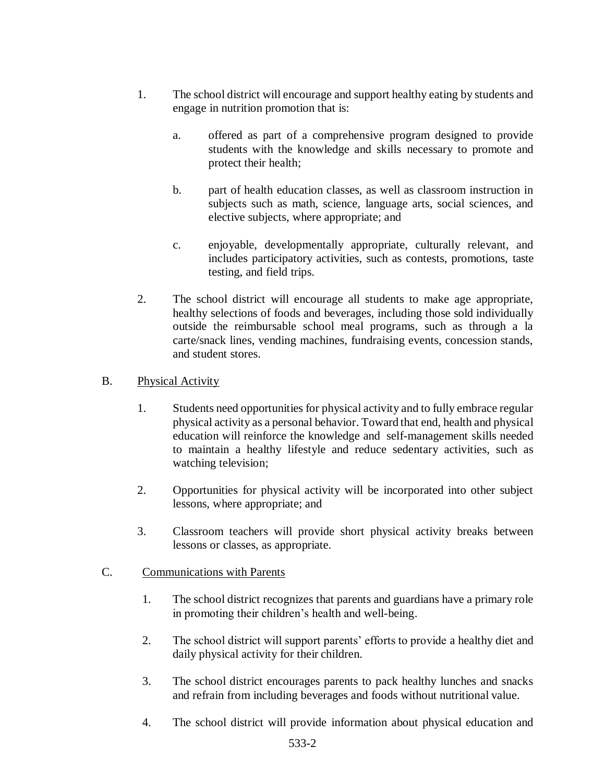- 1. The school district will encourage and support healthy eating by students and engage in nutrition promotion that is:
	- a. offered as part of a comprehensive program designed to provide students with the knowledge and skills necessary to promote and protect their health;
	- b. part of health education classes, as well as classroom instruction in subjects such as math, science, language arts, social sciences, and elective subjects, where appropriate; and
	- c. enjoyable, developmentally appropriate, culturally relevant, and includes participatory activities, such as contests, promotions, taste testing, and field trips.
- 2. The school district will encourage all students to make age appropriate, healthy selections of foods and beverages, including those sold individually outside the reimbursable school meal programs, such as through a la carte/snack lines, vending machines, fundraising events, concession stands, and student stores.

# B. Physical Activity

- 1. Students need opportunities for physical activity and to fully embrace regular physical activity as a personal behavior. Toward that end, health and physical education will reinforce the knowledge and self-management skills needed to maintain a healthy lifestyle and reduce sedentary activities, such as watching television;
- 2. Opportunities for physical activity will be incorporated into other subject lessons, where appropriate; and
- 3. Classroom teachers will provide short physical activity breaks between lessons or classes, as appropriate.

## C. Communications with Parents

- 1. The school district recognizes that parents and guardians have a primary role in promoting their children's health and well-being.
- 2. The school district will support parents' efforts to provide a healthy diet and daily physical activity for their children.
- 3. The school district encourages parents to pack healthy lunches and snacks and refrain from including beverages and foods without nutritional value.
- 4. The school district will provide information about physical education and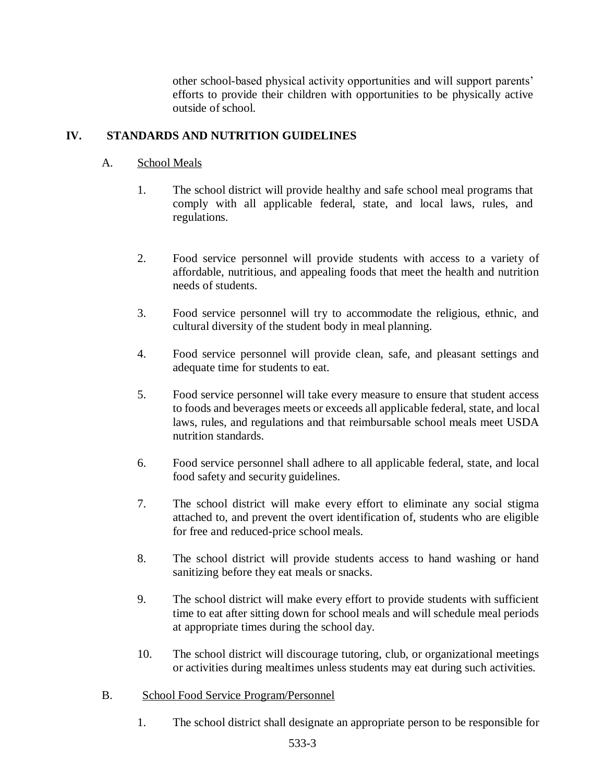other school-based physical activity opportunities and will support parents' efforts to provide their children with opportunities to be physically active outside ofschool.

### **IV. STANDARDS AND NUTRITION GUIDELINES**

### A. School Meals

- 1. The school district will provide healthy and safe school meal programs that comply with all applicable federal, state, and local laws, rules, and regulations.
- 2. Food service personnel will provide students with access to a variety of affordable, nutritious, and appealing foods that meet the health and nutrition needs of students.
- 3. Food service personnel will try to accommodate the religious, ethnic, and cultural diversity of the student body in meal planning.
- 4. Food service personnel will provide clean, safe, and pleasant settings and adequate time for students to eat.
- 5. Food service personnel will take every measure to ensure that student access to foods and beverages meets or exceeds all applicable federal, state, and local laws, rules, and regulations and that reimbursable school meals meet USDA nutrition standards.
- 6. Food service personnel shall adhere to all applicable federal, state, and local food safety and security guidelines.
- 7. The school district will make every effort to eliminate any social stigma attached to, and prevent the overt identification of, students who are eligible for free and reduced-price school meals.
- 8. The school district will provide students access to hand washing or hand sanitizing before they eat meals or snacks.
- 9. The school district will make every effort to provide students with sufficient time to eat after sitting down for school meals and will schedule meal periods at appropriate times during the school day.
- 10. The school district will discourage tutoring, club, or organizational meetings or activities during mealtimes unless students may eat during such activities.

### B. School Food Service Program/Personnel

1. The school district shall designate an appropriate person to be responsible for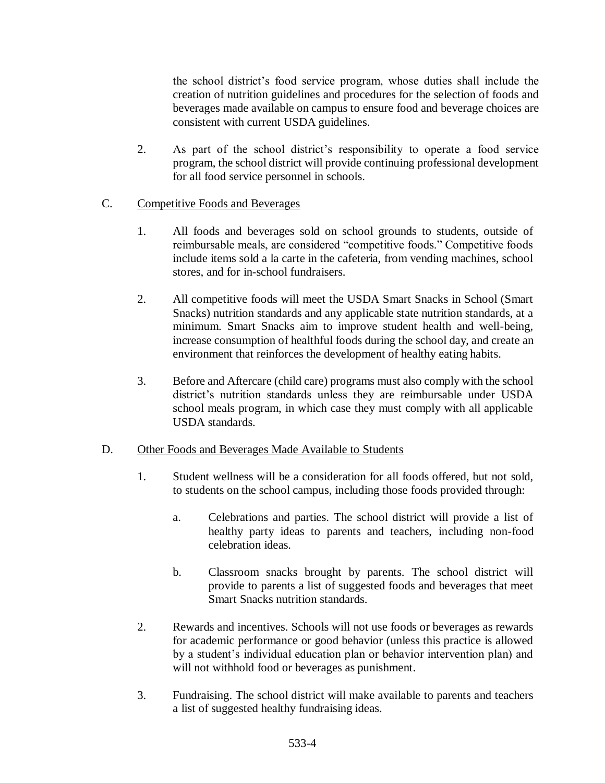the school district's food service program, whose duties shall include the creation of nutrition guidelines and procedures for the selection of foods and beverages made available on campus to ensure food and beverage choices are consistent with current USDA guidelines.

2. As part of the school district's responsibility to operate a food service program, the school district will provide continuing professional development for all food service personnel in schools.

### C. Competitive Foods and Beverages

- 1. All foods and beverages sold on school grounds to students, outside of reimbursable meals, are considered "competitive foods." Competitive foods include items sold a la carte in the cafeteria, from vending machines, school stores, and for in-school fundraisers.
- 2. All competitive foods will meet the USDA Smart Snacks in School (Smart Snacks) nutrition standards and any applicable state nutrition standards, at a minimum. Smart Snacks aim to improve student health and well-being, increase consumption of healthful foods during the school day, and create an environment that reinforces the development of healthy eating habits.
- 3. Before and Aftercare (child care) programs must also comply with the school district's nutrition standards unless they are reimbursable under USDA school meals program, in which case they must comply with all applicable USDA standards.

#### D. Other Foods and Beverages Made Available to Students

- 1. Student wellness will be a consideration for all foods offered, but not sold, to students on the school campus, including those foods provided through:
	- a. Celebrations and parties. The school district will provide a list of healthy party ideas to parents and teachers, including non-food celebration ideas.
	- b. Classroom snacks brought by parents. The school district will provide to parents a list of suggested foods and beverages that meet Smart Snacks nutrition standards.
- 2. Rewards and incentives. Schools will not use foods or beverages as rewards for academic performance or good behavior (unless this practice is allowed by a student's individual education plan or behavior intervention plan) and will not withhold food or beverages as punishment.
- 3. Fundraising. The school district will make available to parents and teachers a list of suggested healthy fundraising ideas.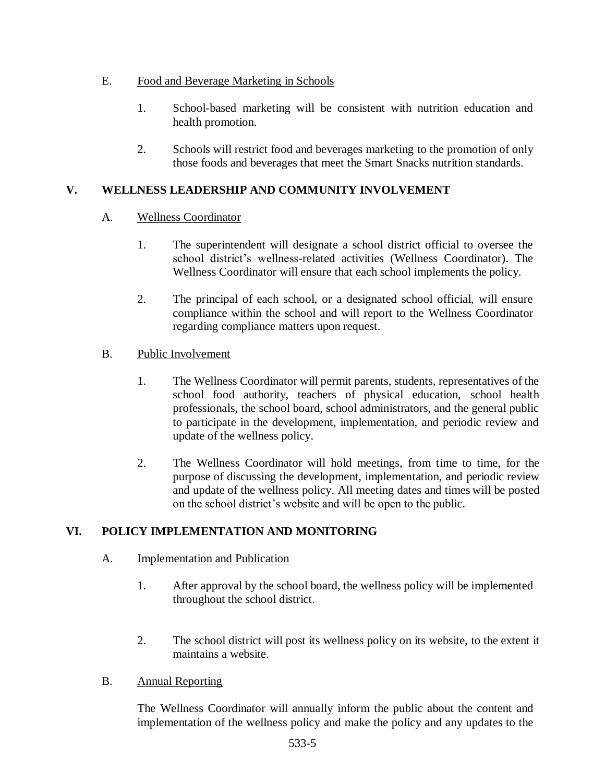# E. Food and Beverage Marketing in Schools

- 1. School-based marketing will be consistent with nutrition education and health promotion.
- 2. Schools will restrict food and beverages marketing to the promotion of only those foods and beverages that meet the Smart Snacks nutrition standards.

# **V. WELLNESS LEADERSHIP AND COMMUNITY INVOLVEMENT**

# A. Wellness Coordinator

- 1. The superintendent will designate a school district official to oversee the school district's wellness-related activities (Wellness Coordinator). The Wellness Coordinator will ensure that each school implements the policy.
- 2. The principal of each school, or a designated school official, will ensure compliance within the school and will report to the Wellness Coordinator regarding compliance matters upon request.

# B. Public Involvement

- 1. The Wellness Coordinator will permit parents, students, representatives of the school food authority, teachers of physical education, school health professionals, the school board, school administrators, and the general public to participate in the development, implementation, and periodic review and update of the wellness policy.
- 2. The Wellness Coordinator will hold meetings, from time to time, for the purpose of discussing the development, implementation, and periodic review and update of the wellness policy. All meeting dates and times will be posted on the school district's website and will be open to the public.

# **VI. POLICY IMPLEMENTATION AND MONITORING**

## A. Implementation and Publication

- 1. After approval by the school board, the wellness policy will be implemented throughout the school district.
- 2. The school district will post its wellness policy on its website, to the extent it maintains a website.

## B. Annual Reporting

The Wellness Coordinator will annually inform the public about the content and implementation of the wellness policy and make the policy and any updates to the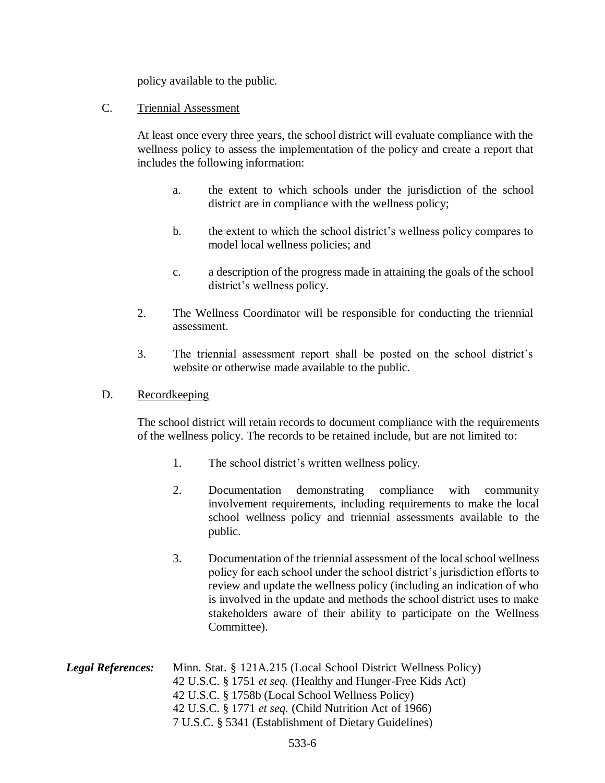policy available to the public.

### C. Triennial Assessment

At least once every three years, the school district will evaluate compliance with the wellness policy to assess the implementation of the policy and create a report that includes the following information:

- a. the extent to which schools under the jurisdiction of the school district are in compliance with the wellness policy;
- b. the extent to which the school district's wellness policy compares to model local wellness policies; and
- c. a description of the progress made in attaining the goals of the school district's wellness policy.
- 2. The Wellness Coordinator will be responsible for conducting the triennial assessment.
- 3. The triennial assessment report shall be posted on the school district's website or otherwise made available to the public.

### D. Recordkeeping

The school district will retain records to document compliance with the requirements of the wellness policy. The records to be retained include, but are not limited to:

- 1. The school district's written wellness policy.
- 2. Documentation demonstrating compliance with community involvement requirements, including requirements to make the local school wellness policy and triennial assessments available to the public.
- 3. Documentation of the triennial assessment of the local school wellness policy for each school under the school district's jurisdiction efforts to review and update the wellness policy (including an indication of who is involved in the update and methods the school district uses to make stakeholders aware of their ability to participate on the Wellness Committee).
- *Legal References:* Minn. Stat. § 121A.215 (Local School District Wellness Policy) 42 U.S.C. § 1751 *et seq.* (Healthy and Hunger-Free Kids Act) 42 U.S.C. § 1758b (Local School Wellness Policy) 42 U.S.C. § 1771 *et seq.* (Child Nutrition Act of 1966) 7 U.S.C. § 5341 (Establishment of Dietary Guidelines)